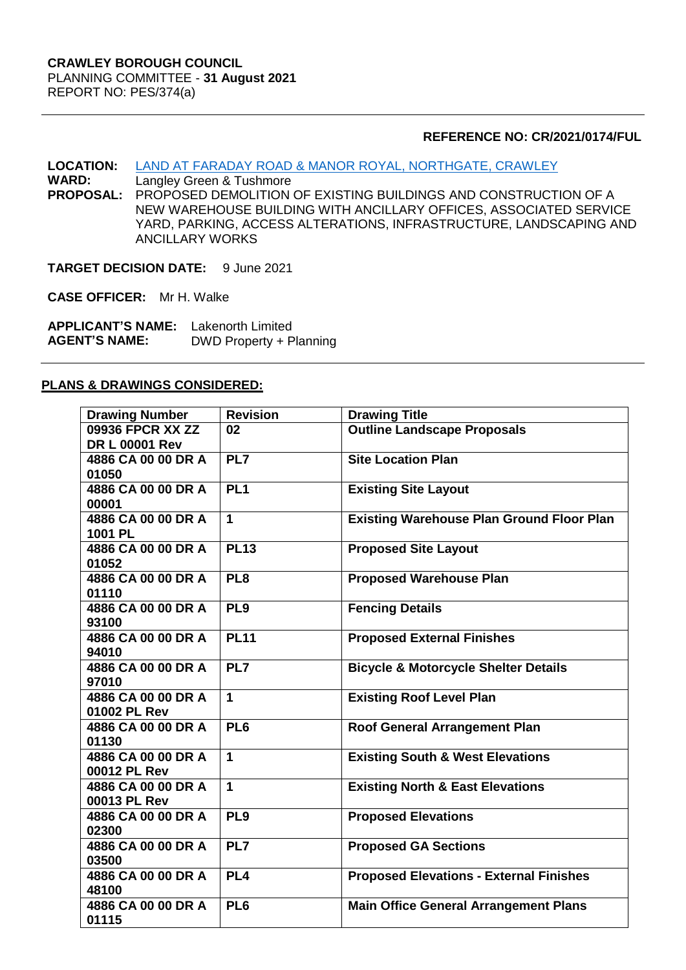### **REFERENCE NO: CR/2021/0174/FUL**

**LOCATION:** [LAND AT FARADAY ROAD & MANOR ROYAL, NORTHGATE, CRAWLEY](https://planningregister.crawley.gov.uk/Planning/Display/CR/2021/0174/FUL#SupportingDocumentsTab) WARD: Langley Green & Tushmore

**Langley Green & Tushmore PROPOSAL:** PROPOSED DEMOLITION OF EXISTING BUILDINGS AND CONSTRUCTION OF A NEW WAREHOUSE BUILDING WITH ANCILLARY OFFICES, ASSOCIATED SERVICE YARD, PARKING, ACCESS ALTERATIONS, INFRASTRUCTURE, LANDSCAPING AND ANCILLARY WORKS

**TARGET DECISION DATE:** 9 June 2021

**CASE OFFICER:** Mr H. Walke

**APPLICANT'S NAME:** Lakenorth Limited **DWD Property + Planning** 

#### **PLANS & DRAWINGS CONSIDERED:**

| <b>Drawing Number</b> | <b>Revision</b> | <b>Drawing Title</b>                             |
|-----------------------|-----------------|--------------------------------------------------|
| 09936 FPCR XX ZZ      | 02              | <b>Outline Landscape Proposals</b>               |
| <b>DR L 00001 Rev</b> |                 |                                                  |
| 4886 CA 00 00 DR A    | PL7             | <b>Site Location Plan</b>                        |
| 01050                 |                 |                                                  |
| 4886 CA 00 00 DR A    | PL <sub>1</sub> | <b>Existing Site Layout</b>                      |
| 00001                 |                 |                                                  |
| 4886 CA 00 00 DR A    | $\mathbf{1}$    | <b>Existing Warehouse Plan Ground Floor Plan</b> |
| 1001 PL               |                 |                                                  |
| 4886 CA 00 00 DR A    | <b>PL13</b>     | <b>Proposed Site Layout</b>                      |
| 01052                 |                 |                                                  |
| 4886 CA 00 00 DR A    | PL <sub>8</sub> | <b>Proposed Warehouse Plan</b>                   |
| 01110                 |                 |                                                  |
| 4886 CA 00 00 DR A    | PL <sub>9</sub> | <b>Fencing Details</b>                           |
| 93100                 |                 |                                                  |
| 4886 CA 00 00 DR A    | <b>PL11</b>     | <b>Proposed External Finishes</b>                |
| 94010                 |                 |                                                  |
| 4886 CA 00 00 DR A    | PL7             | <b>Bicycle &amp; Motorcycle Shelter Details</b>  |
| 97010                 |                 |                                                  |
| 4886 CA 00 00 DR A    | $\mathbf 1$     | <b>Existing Roof Level Plan</b>                  |
| 01002 PL Rev          |                 |                                                  |
| 4886 CA 00 00 DR A    | PL <sub>6</sub> | <b>Roof General Arrangement Plan</b>             |
| 01130                 |                 |                                                  |
| 4886 CA 00 00 DR A    | $\mathbf 1$     | <b>Existing South &amp; West Elevations</b>      |
| 00012 PL Rev          |                 |                                                  |
| 4886 CA 00 00 DR A    | $\mathbf 1$     | <b>Existing North &amp; East Elevations</b>      |
| 00013 PL Rev          |                 |                                                  |
| 4886 CA 00 00 DR A    | PL <sub>9</sub> | <b>Proposed Elevations</b>                       |
| 02300                 |                 |                                                  |
| 4886 CA 00 00 DR A    | PL7             | <b>Proposed GA Sections</b>                      |
| 03500                 |                 |                                                  |
| 4886 CA 00 00 DR A    | PL <sub>4</sub> | <b>Proposed Elevations - External Finishes</b>   |
| 48100                 |                 |                                                  |
| 4886 CA 00 00 DR A    | PL <sub>6</sub> | <b>Main Office General Arrangement Plans</b>     |
| 01115                 |                 |                                                  |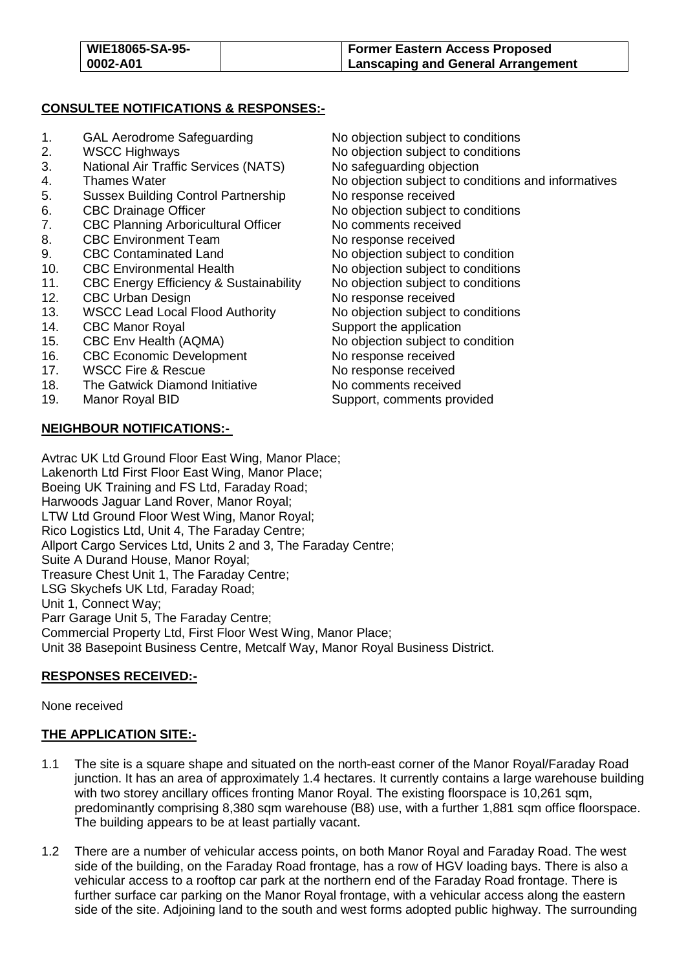| <b>WIE18065-SA-95-</b> | Former Eastern Access Proposed     |
|------------------------|------------------------------------|
| 0002-A01               | Lanscaping and General Arrangement |

## **CONSULTEE NOTIFICATIONS & RESPONSES:-**

- 
- 
- 3. National Air Traffic Services (NATS) No safeguarding objection
- 
- 5. Sussex Building Control Partnership
- 
- **CBC Planning Arboricultural Officer**
- 
- 
- 
- 11. CBC Energy Efficiency & Sustainability No objection subject to conditions
- 12. CBC Urban Design North No response received
- 13. WSCC Lead Local Flood Authority No objection subject to conditions
- 
- 
- 16. CBC Economic Development No response received
- 17. WSCC Fire & Rescue No response received
- 18. The Gatwick Diamond Initiative No comments received
- 19. Manor Royal BID Support, comments provided

# **NEIGHBOUR NOTIFICATIONS:-**

- 1. GAL Aerodrome Safeguarding The No objection subject to conditions<br>2. WSCC Highways The No objection subject to conditions 2. WSCC Highways **No objection subject to conditions** 4. Thames Water **No objection subject to conditions and informatives**<br>5. Sussex Building Control Partnership No response received 6. CBC Drainage Officer No objection subject to conditions<br>
7. CBC Planning Arboricultural Officer No comments received 8. CBC Environment Team No response received<br>
9. CBC Contaminated Land<br>
No objection subject to 9. CBC Contaminated Land No objection subject to condition 10. CBC Environmental Health No objection subject to conditions 14. CBC Manor Royal Support the application<br>15. CBC Env Health (AQMA) No objection subject to No objection subject to condition
	-
	-

Avtrac UK Ltd Ground Floor East Wing, Manor Place; Lakenorth Ltd First Floor East Wing, Manor Place; Boeing UK Training and FS Ltd, Faraday Road; Harwoods Jaguar Land Rover, Manor Royal; LTW Ltd Ground Floor West Wing, Manor Royal; Rico Logistics Ltd, Unit 4, The Faraday Centre; Allport Cargo Services Ltd, Units 2 and 3, The Faraday Centre; Suite A Durand House, Manor Royal; Treasure Chest Unit 1, The Faraday Centre; LSG Skychefs UK Ltd, Faraday Road; Unit 1, Connect Way; Parr Garage Unit 5, The Faraday Centre; Commercial Property Ltd, First Floor West Wing, Manor Place; Unit 38 Basepoint Business Centre, Metcalf Way, Manor Royal Business District.

# **RESPONSES RECEIVED:-**

None received

# **THE APPLICATION SITE:-**

- 1.1 The site is a square shape and situated on the north-east corner of the Manor Royal/Faraday Road junction. It has an area of approximately 1.4 hectares. It currently contains a large warehouse building with two storey ancillary offices fronting Manor Royal. The existing floorspace is 10,261 sqm, predominantly comprising 8,380 sqm warehouse (B8) use, with a further 1,881 sqm office floorspace. The building appears to be at least partially vacant.
- 1.2 There are a number of vehicular access points, on both Manor Royal and Faraday Road. The west side of the building, on the Faraday Road frontage, has a row of HGV loading bays. There is also a vehicular access to a rooftop car park at the northern end of the Faraday Road frontage. There is further surface car parking on the Manor Royal frontage, with a vehicular access along the eastern side of the site. Adjoining land to the south and west forms adopted public highway. The surrounding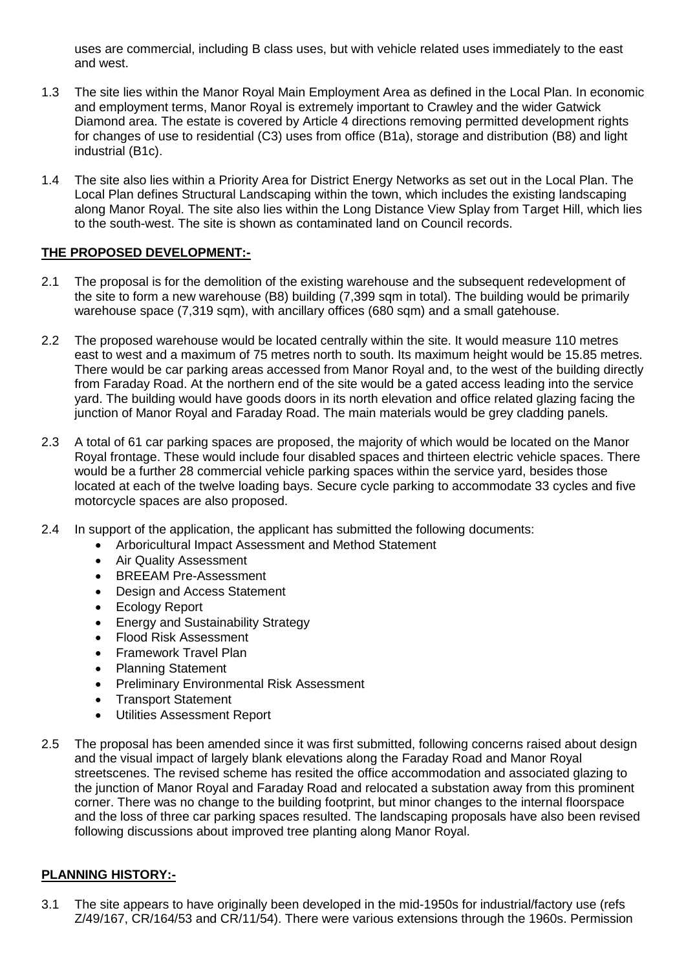uses are commercial, including B class uses, but with vehicle related uses immediately to the east and west.

- 1.3 The site lies within the Manor Royal Main Employment Area as defined in the Local Plan. In economic and employment terms, Manor Royal is extremely important to Crawley and the wider Gatwick Diamond area. The estate is covered by Article 4 directions removing permitted development rights for changes of use to residential (C3) uses from office (B1a), storage and distribution (B8) and light industrial (B1c).
- 1.4 The site also lies within a Priority Area for District Energy Networks as set out in the Local Plan. The Local Plan defines Structural Landscaping within the town, which includes the existing landscaping along Manor Royal. The site also lies within the Long Distance View Splay from Target Hill, which lies to the south-west. The site is shown as contaminated land on Council records.

# **THE PROPOSED DEVELOPMENT:-**

- 2.1 The proposal is for the demolition of the existing warehouse and the subsequent redevelopment of the site to form a new warehouse (B8) building (7,399 sqm in total). The building would be primarily warehouse space (7,319 sqm), with ancillary offices (680 sqm) and a small gatehouse.
- 2.2 The proposed warehouse would be located centrally within the site. It would measure 110 metres east to west and a maximum of 75 metres north to south. Its maximum height would be 15.85 metres. There would be car parking areas accessed from Manor Royal and, to the west of the building directly from Faraday Road. At the northern end of the site would be a gated access leading into the service yard. The building would have goods doors in its north elevation and office related glazing facing the junction of Manor Royal and Faraday Road. The main materials would be grey cladding panels.
- 2.3 A total of 61 car parking spaces are proposed, the majority of which would be located on the Manor Royal frontage. These would include four disabled spaces and thirteen electric vehicle spaces. There would be a further 28 commercial vehicle parking spaces within the service yard, besides those located at each of the twelve loading bays. Secure cycle parking to accommodate 33 cycles and five motorcycle spaces are also proposed.
- 2.4 In support of the application, the applicant has submitted the following documents:
	- Arboricultural Impact Assessment and Method Statement
	- Air Quality Assessment
	- BREEAM Pre-Assessment
	- Design and Access Statement
	- Ecology Report
	- Energy and Sustainability Strategy
	- Flood Risk Assessment
	- Framework Travel Plan
	- Planning Statement
	- Preliminary Environmental Risk Assessment
	- Transport Statement
	- Utilities Assessment Report
- 2.5 The proposal has been amended since it was first submitted, following concerns raised about design and the visual impact of largely blank elevations along the Faraday Road and Manor Royal streetscenes. The revised scheme has resited the office accommodation and associated glazing to the junction of Manor Royal and Faraday Road and relocated a substation away from this prominent corner. There was no change to the building footprint, but minor changes to the internal floorspace and the loss of three car parking spaces resulted. The landscaping proposals have also been revised following discussions about improved tree planting along Manor Royal.

# **PLANNING HISTORY:-**

3.1 The site appears to have originally been developed in the mid-1950s for industrial/factory use (refs Z/49/167, CR/164/53 and CR/11/54). There were various extensions through the 1960s. Permission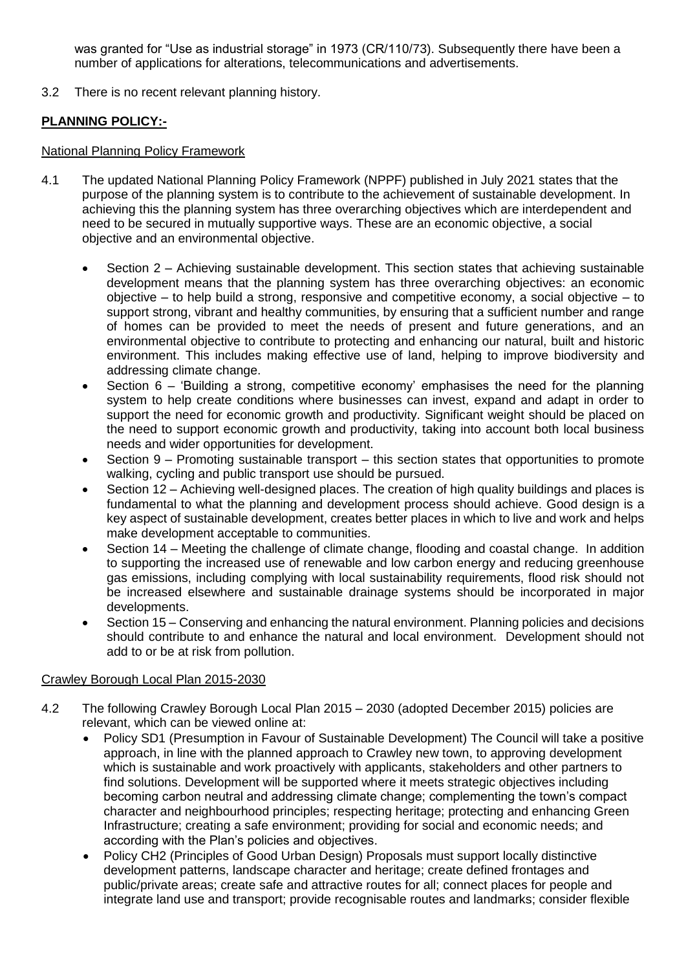was granted for "Use as industrial storage" in 1973 (CR/110/73). Subsequently there have been a number of applications for alterations, telecommunications and advertisements.

3.2 There is no recent relevant planning history.

# **PLANNING POLICY:-**

#### National Planning Policy Framework

- 4.1 The updated National Planning Policy Framework (NPPF) published in July 2021 states that the purpose of the planning system is to contribute to the achievement of sustainable development. In achieving this the planning system has three overarching objectives which are interdependent and need to be secured in mutually supportive ways. These are an economic objective, a social objective and an environmental objective.
	- Section 2 Achieving sustainable development. This section states that achieving sustainable development means that the planning system has three overarching objectives: an economic objective – to help build a strong, responsive and competitive economy, a social objective – to support strong, vibrant and healthy communities, by ensuring that a sufficient number and range of homes can be provided to meet the needs of present and future generations, and an environmental objective to contribute to protecting and enhancing our natural, built and historic environment. This includes making effective use of land, helping to improve biodiversity and addressing climate change.
	- Section 6 'Building a strong, competitive economy' emphasises the need for the planning system to help create conditions where businesses can invest, expand and adapt in order to support the need for economic growth and productivity. Significant weight should be placed on the need to support economic growth and productivity, taking into account both local business needs and wider opportunities for development.
	- Section 9 Promoting sustainable transport this section states that opportunities to promote walking, cycling and public transport use should be pursued.
	- Section 12 Achieving well-designed places. The creation of high quality buildings and places is fundamental to what the planning and development process should achieve. Good design is a key aspect of sustainable development, creates better places in which to live and work and helps make development acceptable to communities.
	- Section 14 Meeting the challenge of climate change, flooding and coastal change. In addition to supporting the increased use of renewable and low carbon energy and reducing greenhouse gas emissions, including complying with local sustainability requirements, flood risk should not be increased elsewhere and sustainable drainage systems should be incorporated in major developments.
	- Section 15 Conserving and enhancing the natural environment. Planning policies and decisions should contribute to and enhance the natural and local environment. Development should not add to or be at risk from pollution.

### Crawley Borough Local Plan 2015-2030

- 4.2 The following Crawley Borough Local Plan 2015 2030 (adopted December 2015) policies are relevant, which can be viewed online at:
	- Policy SD1 (Presumption in Favour of Sustainable Development) The Council will take a positive approach, in line with the planned approach to Crawley new town, to approving development which is sustainable and work proactively with applicants, stakeholders and other partners to find solutions. Development will be supported where it meets strategic objectives including becoming carbon neutral and addressing climate change; complementing the town's compact character and neighbourhood principles; respecting heritage; protecting and enhancing Green Infrastructure; creating a safe environment; providing for social and economic needs; and according with the Plan's policies and objectives.
	- Policy CH2 (Principles of Good Urban Design) Proposals must support locally distinctive development patterns, landscape character and heritage; create defined frontages and public/private areas; create safe and attractive routes for all; connect places for people and integrate land use and transport; provide recognisable routes and landmarks; consider flexible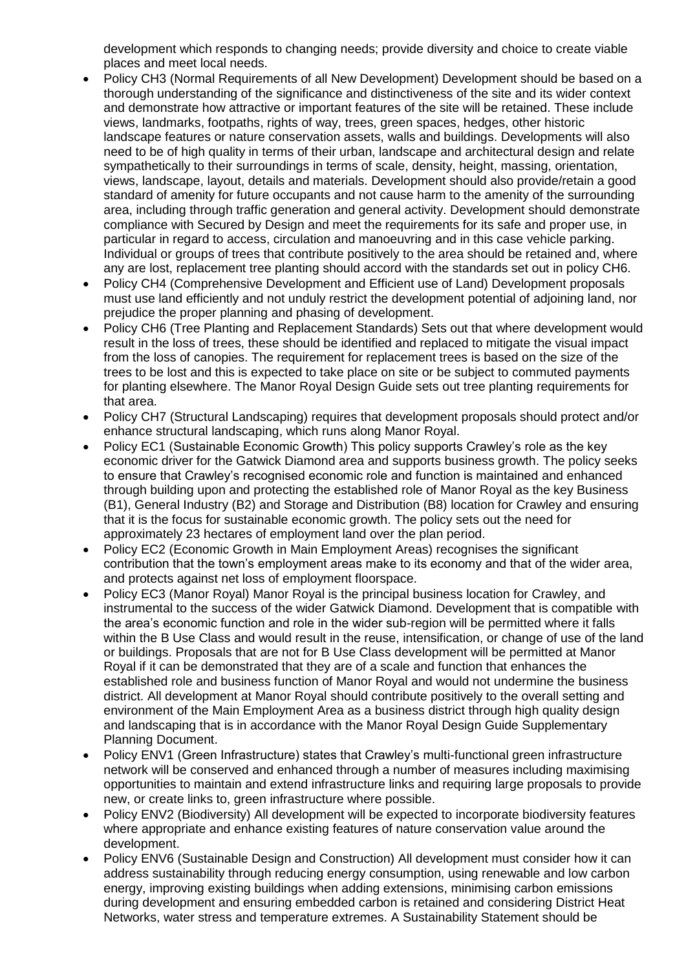development which responds to changing needs; provide diversity and choice to create viable places and meet local needs.

- Policy CH3 (Normal Requirements of all New Development) Development should be based on a thorough understanding of the significance and distinctiveness of the site and its wider context and demonstrate how attractive or important features of the site will be retained. These include views, landmarks, footpaths, rights of way, trees, green spaces, hedges, other historic landscape features or nature conservation assets, walls and buildings. Developments will also need to be of high quality in terms of their urban, landscape and architectural design and relate sympathetically to their surroundings in terms of scale, density, height, massing, orientation, views, landscape, layout, details and materials. Development should also provide/retain a good standard of amenity for future occupants and not cause harm to the amenity of the surrounding area, including through traffic generation and general activity. Development should demonstrate compliance with Secured by Design and meet the requirements for its safe and proper use, in particular in regard to access, circulation and manoeuvring and in this case vehicle parking. Individual or groups of trees that contribute positively to the area should be retained and, where any are lost, replacement tree planting should accord with the standards set out in policy CH6.
- Policy CH4 (Comprehensive Development and Efficient use of Land) Development proposals must use land efficiently and not unduly restrict the development potential of adjoining land, nor prejudice the proper planning and phasing of development.
- Policy CH6 (Tree Planting and Replacement Standards) Sets out that where development would result in the loss of trees, these should be identified and replaced to mitigate the visual impact from the loss of canopies. The requirement for replacement trees is based on the size of the trees to be lost and this is expected to take place on site or be subject to commuted payments for planting elsewhere. The Manor Royal Design Guide sets out tree planting requirements for that area.
- Policy CH7 (Structural Landscaping) requires that development proposals should protect and/or enhance structural landscaping, which runs along Manor Royal.
- Policy EC1 (Sustainable Economic Growth) This policy supports Crawley's role as the key economic driver for the Gatwick Diamond area and supports business growth. The policy seeks to ensure that Crawley's recognised economic role and function is maintained and enhanced through building upon and protecting the established role of Manor Royal as the key Business (B1), General Industry (B2) and Storage and Distribution (B8) location for Crawley and ensuring that it is the focus for sustainable economic growth. The policy sets out the need for approximately 23 hectares of employment land over the plan period.
- Policy EC2 (Economic Growth in Main Employment Areas) recognises the significant contribution that the town's employment areas make to its economy and that of the wider area, and protects against net loss of employment floorspace.
- Policy EC3 (Manor Royal) Manor Royal is the principal business location for Crawley, and instrumental to the success of the wider Gatwick Diamond. Development that is compatible with the area's economic function and role in the wider sub-region will be permitted where it falls within the B Use Class and would result in the reuse, intensification, or change of use of the land or buildings. Proposals that are not for B Use Class development will be permitted at Manor Royal if it can be demonstrated that they are of a scale and function that enhances the established role and business function of Manor Royal and would not undermine the business district. All development at Manor Royal should contribute positively to the overall setting and environment of the Main Employment Area as a business district through high quality design and landscaping that is in accordance with the Manor Royal Design Guide Supplementary Planning Document.
- Policy ENV1 (Green Infrastructure) states that Crawley's multi-functional green infrastructure network will be conserved and enhanced through a number of measures including maximising opportunities to maintain and extend infrastructure links and requiring large proposals to provide new, or create links to, green infrastructure where possible.
- Policy ENV2 (Biodiversity) All development will be expected to incorporate biodiversity features where appropriate and enhance existing features of nature conservation value around the development.
- Policy ENV6 (Sustainable Design and Construction) All development must consider how it can address sustainability through reducing energy consumption, using renewable and low carbon energy, improving existing buildings when adding extensions, minimising carbon emissions during development and ensuring embedded carbon is retained and considering District Heat Networks, water stress and temperature extremes. A Sustainability Statement should be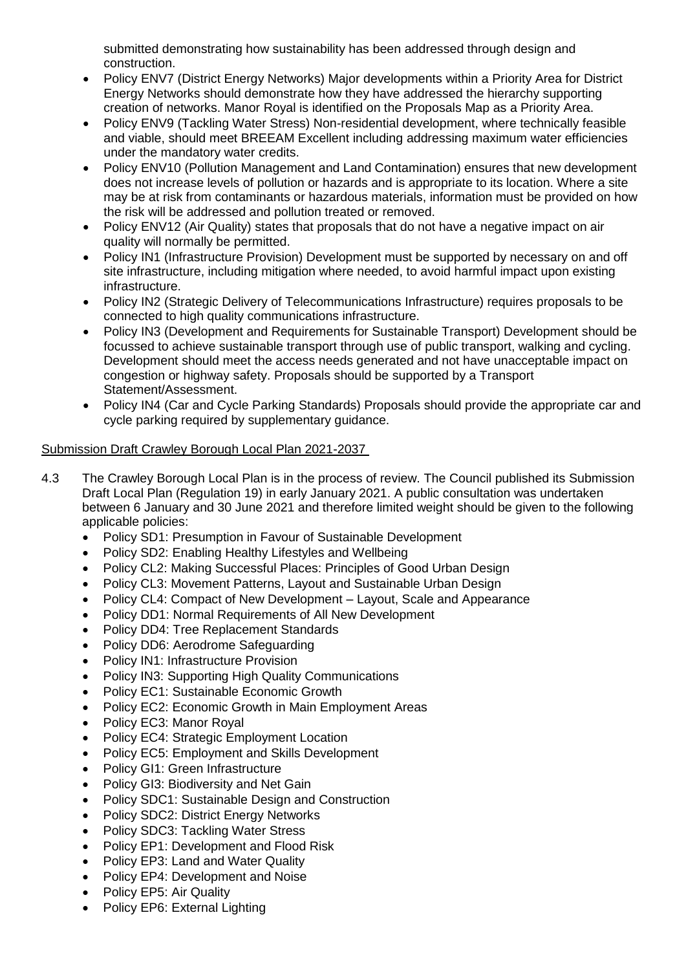submitted demonstrating how sustainability has been addressed through design and construction.

- Policy ENV7 (District Energy Networks) Major developments within a Priority Area for District Energy Networks should demonstrate how they have addressed the hierarchy supporting creation of networks. Manor Royal is identified on the Proposals Map as a Priority Area.
- Policy ENV9 (Tackling Water Stress) Non-residential development, where technically feasible and viable, should meet BREEAM Excellent including addressing maximum water efficiencies under the mandatory water credits.
- Policy ENV10 (Pollution Management and Land Contamination) ensures that new development does not increase levels of pollution or hazards and is appropriate to its location. Where a site may be at risk from contaminants or hazardous materials, information must be provided on how the risk will be addressed and pollution treated or removed.
- Policy ENV12 (Air Quality) states that proposals that do not have a negative impact on air quality will normally be permitted.
- Policy IN1 (Infrastructure Provision) Development must be supported by necessary on and off site infrastructure, including mitigation where needed, to avoid harmful impact upon existing infrastructure.
- Policy IN2 (Strategic Delivery of Telecommunications Infrastructure) requires proposals to be connected to high quality communications infrastructure.
- Policy IN3 (Development and Requirements for Sustainable Transport) Development should be focussed to achieve sustainable transport through use of public transport, walking and cycling. Development should meet the access needs generated and not have unacceptable impact on congestion or highway safety. Proposals should be supported by a Transport Statement/Assessment.
- Policy IN4 (Car and Cycle Parking Standards) Proposals should provide the appropriate car and cycle parking required by supplementary guidance.

## Submission Draft Crawley Borough Local Plan 2021-2037

- 4.3 The Crawley Borough Local Plan is in the process of review. The Council published its Submission Draft Local Plan (Regulation 19) in early January 2021. A public consultation was undertaken between 6 January and 30 June 2021 and therefore limited weight should be given to the following applicable policies:
	- Policy SD1: Presumption in Favour of Sustainable Development
	- Policy SD2: Enabling Healthy Lifestyles and Wellbeing
	- Policy CL2: Making Successful Places: Principles of Good Urban Design
	- Policy CL3: Movement Patterns, Layout and Sustainable Urban Design
	- Policy CL4: Compact of New Development Layout, Scale and Appearance
	- Policy DD1: Normal Requirements of All New Development
	- Policy DD4: Tree Replacement Standards
	- Policy DD6: Aerodrome Safeguarding
	- Policy IN1: Infrastructure Provision
	- Policy IN3: Supporting High Quality Communications
	- Policy EC1: Sustainable Economic Growth
	- Policy EC2: Economic Growth in Main Employment Areas
	- Policy EC3: Manor Royal
	- Policy EC4: Strategic Employment Location
	- Policy EC5: Employment and Skills Development
	- Policy GI1: Green Infrastructure
	- Policy GI3: Biodiversity and Net Gain
	- Policy SDC1: Sustainable Design and Construction
	- Policy SDC2: District Energy Networks
	- Policy SDC3: Tackling Water Stress
	- Policy EP1: Development and Flood Risk
	- Policy EP3: Land and Water Quality
	- Policy EP4: Development and Noise
	- Policy EP5: Air Quality
	- Policy EP6: External Lighting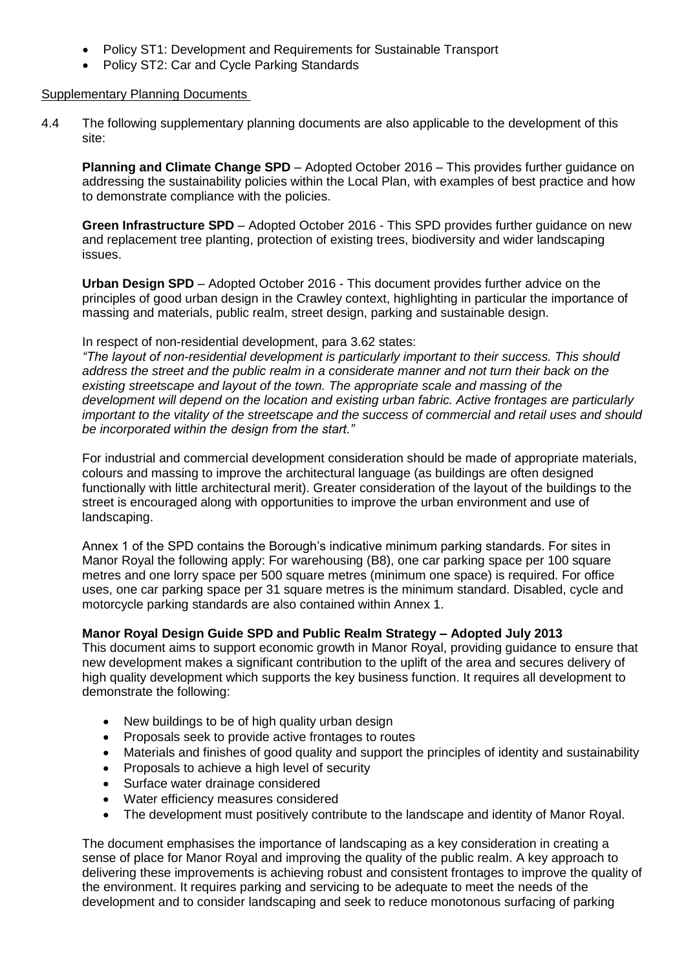- Policy ST1: Development and Requirements for Sustainable Transport
- Policy ST2: Car and Cycle Parking Standards

#### **Supplementary Planning Documents**

4.4 The following supplementary planning documents are also applicable to the development of this site:

**Planning and Climate Change SPD** – Adopted October 2016 – This provides further guidance on addressing the sustainability policies within the Local Plan, with examples of best practice and how to demonstrate compliance with the policies.

**Green Infrastructure SPD** – Adopted October 2016 - This SPD provides further guidance on new and replacement tree planting, protection of existing trees, biodiversity and wider landscaping issues.

**Urban Design SPD** – Adopted October 2016 - This document provides further advice on the principles of good urban design in the Crawley context, highlighting in particular the importance of massing and materials, public realm, street design, parking and sustainable design.

#### In respect of non-residential development, para 3.62 states:

*"The layout of non-residential development is particularly important to their success. This should address the street and the public realm in a considerate manner and not turn their back on the existing streetscape and layout of the town. The appropriate scale and massing of the development will depend on the location and existing urban fabric. Active frontages are particularly important to the vitality of the streetscape and the success of commercial and retail uses and should be incorporated within the design from the start."* 

For industrial and commercial development consideration should be made of appropriate materials, colours and massing to improve the architectural language (as buildings are often designed functionally with little architectural merit). Greater consideration of the layout of the buildings to the street is encouraged along with opportunities to improve the urban environment and use of landscaping.

Annex 1 of the SPD contains the Borough's indicative minimum parking standards. For sites in Manor Royal the following apply: For warehousing (B8), one car parking space per 100 square metres and one lorry space per 500 square metres (minimum one space) is required. For office uses, one car parking space per 31 square metres is the minimum standard. Disabled, cycle and motorcycle parking standards are also contained within Annex 1.

### **Manor Royal Design Guide SPD and Public Realm Strategy – Adopted July 2013**

This document aims to support economic growth in Manor Royal, providing guidance to ensure that new development makes a significant contribution to the uplift of the area and secures delivery of high quality development which supports the key business function. It requires all development to demonstrate the following:

- New buildings to be of high quality urban design
- Proposals seek to provide active frontages to routes
- Materials and finishes of good quality and support the principles of identity and sustainability
- Proposals to achieve a high level of security
- Surface water drainage considered
- Water efficiency measures considered
- The development must positively contribute to the landscape and identity of Manor Royal.

The document emphasises the importance of landscaping as a key consideration in creating a sense of place for Manor Royal and improving the quality of the public realm. A key approach to delivering these improvements is achieving robust and consistent frontages to improve the quality of the environment. It requires parking and servicing to be adequate to meet the needs of the development and to consider landscaping and seek to reduce monotonous surfacing of parking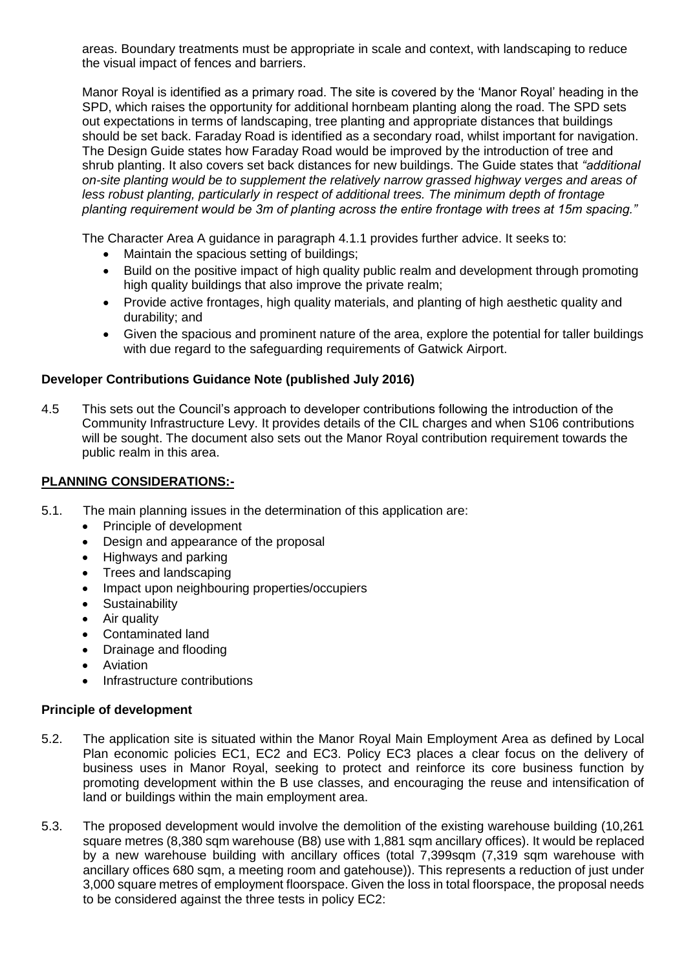areas. Boundary treatments must be appropriate in scale and context, with landscaping to reduce the visual impact of fences and barriers.

Manor Royal is identified as a primary road. The site is covered by the 'Manor Royal' heading in the SPD, which raises the opportunity for additional hornbeam planting along the road. The SPD sets out expectations in terms of landscaping, tree planting and appropriate distances that buildings should be set back. Faraday Road is identified as a secondary road, whilst important for navigation. The Design Guide states how Faraday Road would be improved by the introduction of tree and shrub planting. It also covers set back distances for new buildings. The Guide states that *"additional on-site planting would be to supplement the relatively narrow grassed highway verges and areas of*  less robust planting, particularly in respect of additional trees. The minimum depth of frontage *planting requirement would be 3m of planting across the entire frontage with trees at 15m spacing."* 

The Character Area A guidance in paragraph 4.1.1 provides further advice. It seeks to:

- Maintain the spacious setting of buildings;
- Build on the positive impact of high quality public realm and development through promoting high quality buildings that also improve the private realm;
- Provide active frontages, high quality materials, and planting of high aesthetic quality and durability; and
- Given the spacious and prominent nature of the area, explore the potential for taller buildings with due regard to the safeguarding requirements of Gatwick Airport.

## **Developer Contributions Guidance Note (published July 2016)**

4.5 This sets out the Council's approach to developer contributions following the introduction of the Community Infrastructure Levy. It provides details of the CIL charges and when S106 contributions will be sought. The document also sets out the Manor Royal contribution requirement towards the public realm in this area.

### **PLANNING CONSIDERATIONS:-**

- 5.1. The main planning issues in the determination of this application are:
	- Principle of development
	- Design and appearance of the proposal
	- Highways and parking
	- Trees and landscaping
	- Impact upon neighbouring properties/occupiers
	- Sustainability
	- Air quality
	- Contaminated land
	- Drainage and flooding
	- **•** Aviation
	- Infrastructure contributions

### **Principle of development**

- 5.2. The application site is situated within the Manor Royal Main Employment Area as defined by Local Plan economic policies EC1, EC2 and EC3. Policy EC3 places a clear focus on the delivery of business uses in Manor Royal, seeking to protect and reinforce its core business function by promoting development within the B use classes, and encouraging the reuse and intensification of land or buildings within the main employment area.
- 5.3. The proposed development would involve the demolition of the existing warehouse building (10,261 square metres (8,380 sqm warehouse (B8) use with 1,881 sqm ancillary offices). It would be replaced by a new warehouse building with ancillary offices (total 7,399sqm (7,319 sqm warehouse with ancillary offices 680 sqm, a meeting room and gatehouse)). This represents a reduction of just under 3,000 square metres of employment floorspace. Given the loss in total floorspace, the proposal needs to be considered against the three tests in policy EC2: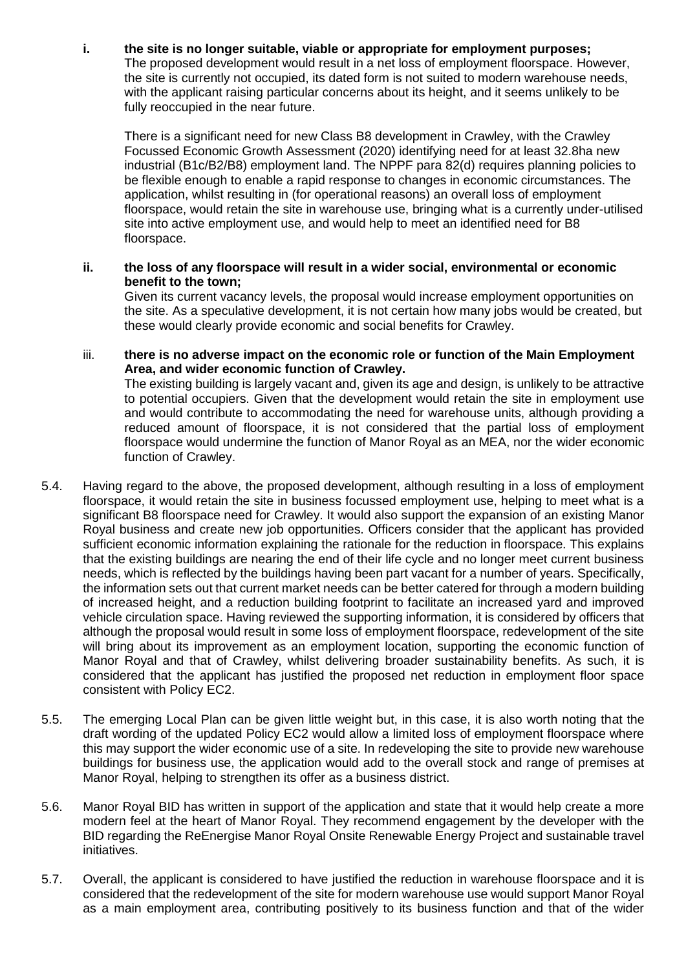# **i. the site is no longer suitable, viable or appropriate for employment purposes;**

The proposed development would result in a net loss of employment floorspace. However, the site is currently not occupied, its dated form is not suited to modern warehouse needs, with the applicant raising particular concerns about its height, and it seems unlikely to be fully reoccupied in the near future.

There is a significant need for new Class B8 development in Crawley, with the Crawley Focussed Economic Growth Assessment (2020) identifying need for at least 32.8ha new industrial (B1c/B2/B8) employment land. The NPPF para 82(d) requires planning policies to be flexible enough to enable a rapid response to changes in economic circumstances. The application, whilst resulting in (for operational reasons) an overall loss of employment floorspace, would retain the site in warehouse use, bringing what is a currently under-utilised site into active employment use, and would help to meet an identified need for B8 floorspace.

**ii. the loss of any floorspace will result in a wider social, environmental or economic benefit to the town;**

Given its current vacancy levels, the proposal would increase employment opportunities on the site. As a speculative development, it is not certain how many jobs would be created, but these would clearly provide economic and social benefits for Crawley.

### iii. **there is no adverse impact on the economic role or function of the Main Employment Area, and wider economic function of Crawley.**

The existing building is largely vacant and, given its age and design, is unlikely to be attractive to potential occupiers. Given that the development would retain the site in employment use and would contribute to accommodating the need for warehouse units, although providing a reduced amount of floorspace, it is not considered that the partial loss of employment floorspace would undermine the function of Manor Royal as an MEA, nor the wider economic function of Crawley.

- 5.4. Having regard to the above, the proposed development, although resulting in a loss of employment floorspace, it would retain the site in business focussed employment use, helping to meet what is a significant B8 floorspace need for Crawley. It would also support the expansion of an existing Manor Royal business and create new job opportunities. Officers consider that the applicant has provided sufficient economic information explaining the rationale for the reduction in floorspace. This explains that the existing buildings are nearing the end of their life cycle and no longer meet current business needs, which is reflected by the buildings having been part vacant for a number of years. Specifically, the information sets out that current market needs can be better catered for through a modern building of increased height, and a reduction building footprint to facilitate an increased yard and improved vehicle circulation space. Having reviewed the supporting information, it is considered by officers that although the proposal would result in some loss of employment floorspace, redevelopment of the site will bring about its improvement as an employment location, supporting the economic function of Manor Royal and that of Crawley, whilst delivering broader sustainability benefits. As such, it is considered that the applicant has justified the proposed net reduction in employment floor space consistent with Policy EC2.
- 5.5. The emerging Local Plan can be given little weight but, in this case, it is also worth noting that the draft wording of the updated Policy EC2 would allow a limited loss of employment floorspace where this may support the wider economic use of a site. In redeveloping the site to provide new warehouse buildings for business use, the application would add to the overall stock and range of premises at Manor Royal, helping to strengthen its offer as a business district.
- 5.6. Manor Royal BID has written in support of the application and state that it would help create a more modern feel at the heart of Manor Royal. They recommend engagement by the developer with the BID regarding the ReEnergise Manor Royal Onsite Renewable Energy Project and sustainable travel initiatives.
- 5.7. Overall, the applicant is considered to have justified the reduction in warehouse floorspace and it is considered that the redevelopment of the site for modern warehouse use would support Manor Royal as a main employment area, contributing positively to its business function and that of the wider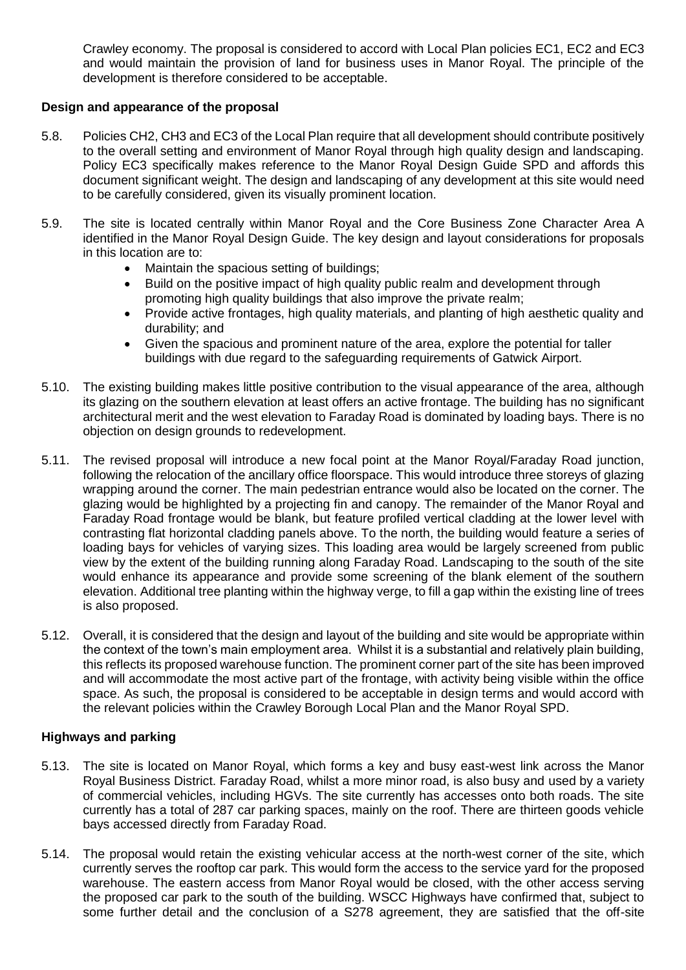Crawley economy. The proposal is considered to accord with Local Plan policies EC1, EC2 and EC3 and would maintain the provision of land for business uses in Manor Royal. The principle of the development is therefore considered to be acceptable.

### **Design and appearance of the proposal**

- 5.8. Policies CH2, CH3 and EC3 of the Local Plan require that all development should contribute positively to the overall setting and environment of Manor Royal through high quality design and landscaping. Policy EC3 specifically makes reference to the Manor Royal Design Guide SPD and affords this document significant weight. The design and landscaping of any development at this site would need to be carefully considered, given its visually prominent location.
- 5.9. The site is located centrally within Manor Royal and the Core Business Zone Character Area A identified in the Manor Royal Design Guide. The key design and layout considerations for proposals in this location are to:
	- Maintain the spacious setting of buildings;
	- Build on the positive impact of high quality public realm and development through promoting high quality buildings that also improve the private realm;
	- Provide active frontages, high quality materials, and planting of high aesthetic quality and durability; and
	- Given the spacious and prominent nature of the area, explore the potential for taller buildings with due regard to the safeguarding requirements of Gatwick Airport.
- 5.10. The existing building makes little positive contribution to the visual appearance of the area, although its glazing on the southern elevation at least offers an active frontage. The building has no significant architectural merit and the west elevation to Faraday Road is dominated by loading bays. There is no objection on design grounds to redevelopment.
- 5.11. The revised proposal will introduce a new focal point at the Manor Royal/Faraday Road junction, following the relocation of the ancillary office floorspace. This would introduce three storeys of glazing wrapping around the corner. The main pedestrian entrance would also be located on the corner. The glazing would be highlighted by a projecting fin and canopy. The remainder of the Manor Royal and Faraday Road frontage would be blank, but feature profiled vertical cladding at the lower level with contrasting flat horizontal cladding panels above. To the north, the building would feature a series of loading bays for vehicles of varying sizes. This loading area would be largely screened from public view by the extent of the building running along Faraday Road. Landscaping to the south of the site would enhance its appearance and provide some screening of the blank element of the southern elevation. Additional tree planting within the highway verge, to fill a gap within the existing line of trees is also proposed.
- 5.12. Overall, it is considered that the design and layout of the building and site would be appropriate within the context of the town's main employment area. Whilst it is a substantial and relatively plain building, this reflects its proposed warehouse function. The prominent corner part of the site has been improved and will accommodate the most active part of the frontage, with activity being visible within the office space. As such, the proposal is considered to be acceptable in design terms and would accord with the relevant policies within the Crawley Borough Local Plan and the Manor Royal SPD.

### **Highways and parking**

- 5.13. The site is located on Manor Royal, which forms a key and busy east-west link across the Manor Royal Business District. Faraday Road, whilst a more minor road, is also busy and used by a variety of commercial vehicles, including HGVs. The site currently has accesses onto both roads. The site currently has a total of 287 car parking spaces, mainly on the roof. There are thirteen goods vehicle bays accessed directly from Faraday Road.
- 5.14. The proposal would retain the existing vehicular access at the north-west corner of the site, which currently serves the rooftop car park. This would form the access to the service yard for the proposed warehouse. The eastern access from Manor Royal would be closed, with the other access serving the proposed car park to the south of the building. WSCC Highways have confirmed that, subject to some further detail and the conclusion of a S278 agreement, they are satisfied that the off-site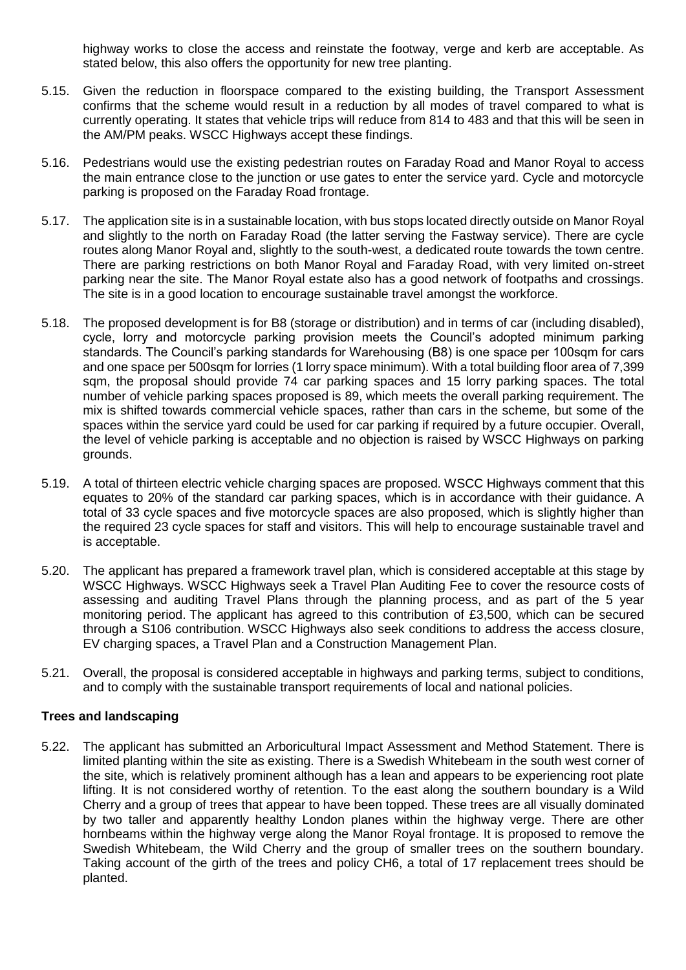highway works to close the access and reinstate the footway, verge and kerb are acceptable. As stated below, this also offers the opportunity for new tree planting.

- 5.15. Given the reduction in floorspace compared to the existing building, the Transport Assessment confirms that the scheme would result in a reduction by all modes of travel compared to what is currently operating. It states that vehicle trips will reduce from 814 to 483 and that this will be seen in the AM/PM peaks. WSCC Highways accept these findings.
- 5.16. Pedestrians would use the existing pedestrian routes on Faraday Road and Manor Royal to access the main entrance close to the junction or use gates to enter the service yard. Cycle and motorcycle parking is proposed on the Faraday Road frontage.
- 5.17. The application site is in a sustainable location, with bus stops located directly outside on Manor Royal and slightly to the north on Faraday Road (the latter serving the Fastway service). There are cycle routes along Manor Royal and, slightly to the south-west, a dedicated route towards the town centre. There are parking restrictions on both Manor Royal and Faraday Road, with very limited on-street parking near the site. The Manor Royal estate also has a good network of footpaths and crossings. The site is in a good location to encourage sustainable travel amongst the workforce.
- 5.18. The proposed development is for B8 (storage or distribution) and in terms of car (including disabled), cycle, lorry and motorcycle parking provision meets the Council's adopted minimum parking standards. The Council's parking standards for Warehousing (B8) is one space per 100sqm for cars and one space per 500sqm for lorries (1 lorry space minimum). With a total building floor area of 7,399 sqm, the proposal should provide 74 car parking spaces and 15 lorry parking spaces. The total number of vehicle parking spaces proposed is 89, which meets the overall parking requirement. The mix is shifted towards commercial vehicle spaces, rather than cars in the scheme, but some of the spaces within the service yard could be used for car parking if required by a future occupier. Overall, the level of vehicle parking is acceptable and no objection is raised by WSCC Highways on parking grounds.
- 5.19. A total of thirteen electric vehicle charging spaces are proposed. WSCC Highways comment that this equates to 20% of the standard car parking spaces, which is in accordance with their guidance. A total of 33 cycle spaces and five motorcycle spaces are also proposed, which is slightly higher than the required 23 cycle spaces for staff and visitors. This will help to encourage sustainable travel and is acceptable.
- 5.20. The applicant has prepared a framework travel plan, which is considered acceptable at this stage by WSCC Highways. WSCC Highways seek a Travel Plan Auditing Fee to cover the resource costs of assessing and auditing Travel Plans through the planning process, and as part of the 5 year monitoring period. The applicant has agreed to this contribution of £3,500, which can be secured through a S106 contribution. WSCC Highways also seek conditions to address the access closure, EV charging spaces, a Travel Plan and a Construction Management Plan.
- 5.21. Overall, the proposal is considered acceptable in highways and parking terms, subject to conditions, and to comply with the sustainable transport requirements of local and national policies.

### **Trees and landscaping**

5.22. The applicant has submitted an Arboricultural Impact Assessment and Method Statement. There is limited planting within the site as existing. There is a Swedish Whitebeam in the south west corner of the site, which is relatively prominent although has a lean and appears to be experiencing root plate lifting. It is not considered worthy of retention. To the east along the southern boundary is a Wild Cherry and a group of trees that appear to have been topped. These trees are all visually dominated by two taller and apparently healthy London planes within the highway verge. There are other hornbeams within the highway verge along the Manor Royal frontage. It is proposed to remove the Swedish Whitebeam, the Wild Cherry and the group of smaller trees on the southern boundary. Taking account of the girth of the trees and policy CH6, a total of 17 replacement trees should be planted.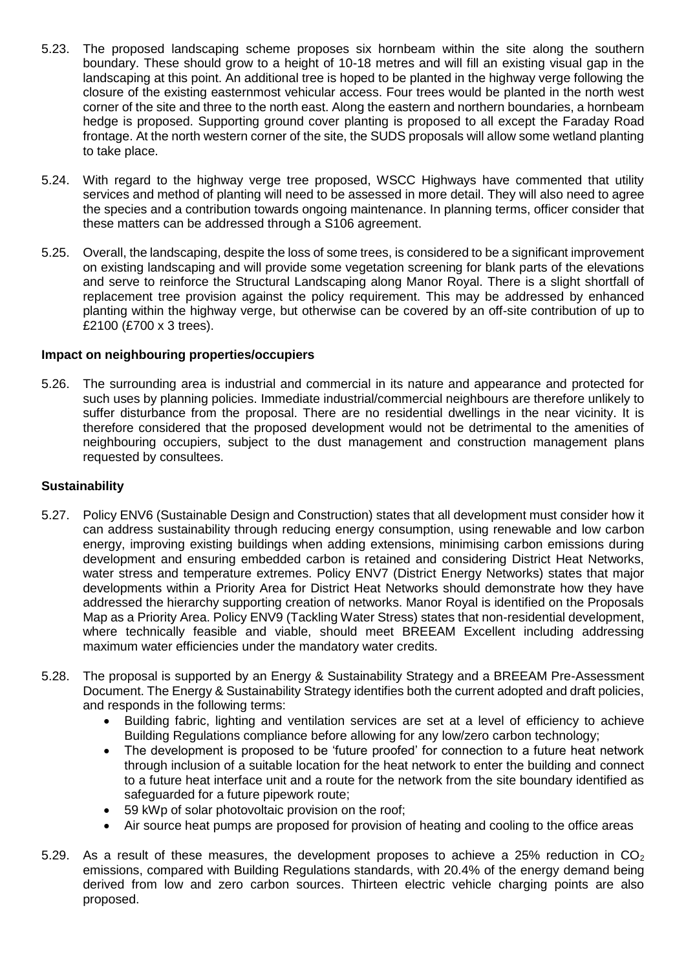- 5.23. The proposed landscaping scheme proposes six hornbeam within the site along the southern boundary. These should grow to a height of 10-18 metres and will fill an existing visual gap in the landscaping at this point. An additional tree is hoped to be planted in the highway verge following the closure of the existing easternmost vehicular access. Four trees would be planted in the north west corner of the site and three to the north east. Along the eastern and northern boundaries, a hornbeam hedge is proposed. Supporting ground cover planting is proposed to all except the Faraday Road frontage. At the north western corner of the site, the SUDS proposals will allow some wetland planting to take place.
- 5.24. With regard to the highway verge tree proposed, WSCC Highways have commented that utility services and method of planting will need to be assessed in more detail. They will also need to agree the species and a contribution towards ongoing maintenance. In planning terms, officer consider that these matters can be addressed through a S106 agreement.
- 5.25. Overall, the landscaping, despite the loss of some trees, is considered to be a significant improvement on existing landscaping and will provide some vegetation screening for blank parts of the elevations and serve to reinforce the Structural Landscaping along Manor Royal. There is a slight shortfall of replacement tree provision against the policy requirement. This may be addressed by enhanced planting within the highway verge, but otherwise can be covered by an off-site contribution of up to £2100 (£700 x 3 trees).

### **Impact on neighbouring properties/occupiers**

5.26. The surrounding area is industrial and commercial in its nature and appearance and protected for such uses by planning policies. Immediate industrial/commercial neighbours are therefore unlikely to suffer disturbance from the proposal. There are no residential dwellings in the near vicinity. It is therefore considered that the proposed development would not be detrimental to the amenities of neighbouring occupiers, subject to the dust management and construction management plans requested by consultees.

#### **Sustainability**

- 5.27. Policy ENV6 (Sustainable Design and Construction) states that all development must consider how it can address sustainability through reducing energy consumption, using renewable and low carbon energy, improving existing buildings when adding extensions, minimising carbon emissions during development and ensuring embedded carbon is retained and considering District Heat Networks, water stress and temperature extremes. Policy ENV7 (District Energy Networks) states that major developments within a Priority Area for District Heat Networks should demonstrate how they have addressed the hierarchy supporting creation of networks. Manor Royal is identified on the Proposals Map as a Priority Area. Policy ENV9 (Tackling Water Stress) states that non-residential development, where technically feasible and viable, should meet BREEAM Excellent including addressing maximum water efficiencies under the mandatory water credits.
- 5.28. The proposal is supported by an Energy & Sustainability Strategy and a BREEAM Pre-Assessment Document. The Energy & Sustainability Strategy identifies both the current adopted and draft policies, and responds in the following terms:
	- Building fabric, lighting and ventilation services are set at a level of efficiency to achieve Building Regulations compliance before allowing for any low/zero carbon technology;
	- The development is proposed to be 'future proofed' for connection to a future heat network through inclusion of a suitable location for the heat network to enter the building and connect to a future heat interface unit and a route for the network from the site boundary identified as safeguarded for a future pipework route;
	- 59 kWp of solar photovoltaic provision on the roof;
	- Air source heat pumps are proposed for provision of heating and cooling to the office areas
- 5.29. As a result of these measures, the development proposes to achieve a 25% reduction in  $CO<sub>2</sub>$ emissions, compared with Building Regulations standards, with 20.4% of the energy demand being derived from low and zero carbon sources. Thirteen electric vehicle charging points are also proposed.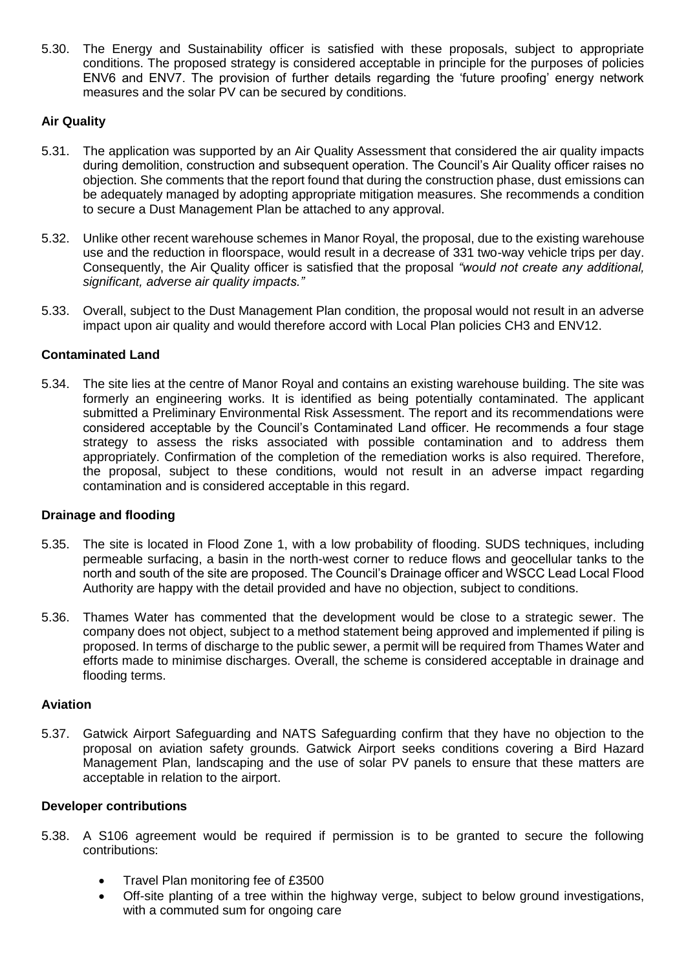5.30. The Energy and Sustainability officer is satisfied with these proposals, subject to appropriate conditions. The proposed strategy is considered acceptable in principle for the purposes of policies ENV6 and ENV7. The provision of further details regarding the 'future proofing' energy network measures and the solar PV can be secured by conditions.

## **Air Quality**

- 5.31. The application was supported by an Air Quality Assessment that considered the air quality impacts during demolition, construction and subsequent operation. The Council's Air Quality officer raises no objection. She comments that the report found that during the construction phase, dust emissions can be adequately managed by adopting appropriate mitigation measures. She recommends a condition to secure a Dust Management Plan be attached to any approval.
- 5.32. Unlike other recent warehouse schemes in Manor Royal, the proposal, due to the existing warehouse use and the reduction in floorspace, would result in a decrease of 331 two-way vehicle trips per day. Consequently, the Air Quality officer is satisfied that the proposal *"would not create any additional, significant, adverse air quality impacts."*
- 5.33. Overall, subject to the Dust Management Plan condition, the proposal would not result in an adverse impact upon air quality and would therefore accord with Local Plan policies CH3 and ENV12.

## **Contaminated Land**

5.34. The site lies at the centre of Manor Royal and contains an existing warehouse building. The site was formerly an engineering works. It is identified as being potentially contaminated. The applicant submitted a Preliminary Environmental Risk Assessment. The report and its recommendations were considered acceptable by the Council's Contaminated Land officer. He recommends a four stage strategy to assess the risks associated with possible contamination and to address them appropriately. Confirmation of the completion of the remediation works is also required. Therefore, the proposal, subject to these conditions, would not result in an adverse impact regarding contamination and is considered acceptable in this regard.

### **Drainage and flooding**

- 5.35. The site is located in Flood Zone 1, with a low probability of flooding. SUDS techniques, including permeable surfacing, a basin in the north-west corner to reduce flows and geocellular tanks to the north and south of the site are proposed. The Council's Drainage officer and WSCC Lead Local Flood Authority are happy with the detail provided and have no objection, subject to conditions.
- 5.36. Thames Water has commented that the development would be close to a strategic sewer. The company does not object, subject to a method statement being approved and implemented if piling is proposed. In terms of discharge to the public sewer, a permit will be required from Thames Water and efforts made to minimise discharges. Overall, the scheme is considered acceptable in drainage and flooding terms.

### **Aviation**

5.37. Gatwick Airport Safeguarding and NATS Safeguarding confirm that they have no objection to the proposal on aviation safety grounds. Gatwick Airport seeks conditions covering a Bird Hazard Management Plan, landscaping and the use of solar PV panels to ensure that these matters are acceptable in relation to the airport.

#### **Developer contributions**

- 5.38. A S106 agreement would be required if permission is to be granted to secure the following contributions:
	- Travel Plan monitoring fee of £3500
	- Off-site planting of a tree within the highway verge, subject to below ground investigations, with a commuted sum for ongoing care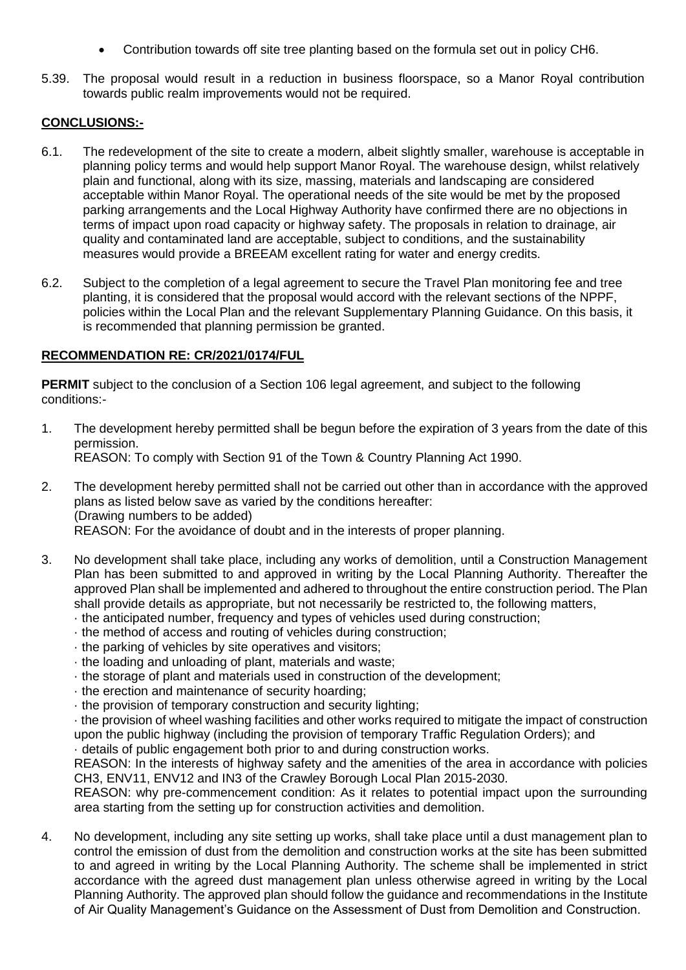- Contribution towards off site tree planting based on the formula set out in policy CH6.
- 5.39. The proposal would result in a reduction in business floorspace, so a Manor Royal contribution towards public realm improvements would not be required.

## **CONCLUSIONS:-**

- 6.1. The redevelopment of the site to create a modern, albeit slightly smaller, warehouse is acceptable in planning policy terms and would help support Manor Royal. The warehouse design, whilst relatively plain and functional, along with its size, massing, materials and landscaping are considered acceptable within Manor Royal. The operational needs of the site would be met by the proposed parking arrangements and the Local Highway Authority have confirmed there are no objections in terms of impact upon road capacity or highway safety. The proposals in relation to drainage, air quality and contaminated land are acceptable, subject to conditions, and the sustainability measures would provide a BREEAM excellent rating for water and energy credits.
- 6.2. Subject to the completion of a legal agreement to secure the Travel Plan monitoring fee and tree planting, it is considered that the proposal would accord with the relevant sections of the NPPF, policies within the Local Plan and the relevant Supplementary Planning Guidance. On this basis, it is recommended that planning permission be granted.

## **RECOMMENDATION RE: CR/2021/0174/FUL**

**PERMIT** subject to the conclusion of a Section 106 legal agreement, and subject to the following conditions:-

- 1. The development hereby permitted shall be begun before the expiration of 3 years from the date of this permission. REASON: To comply with Section 91 of the Town & Country Planning Act 1990.
- 2. The development hereby permitted shall not be carried out other than in accordance with the approved plans as listed below save as varied by the conditions hereafter: (Drawing numbers to be added) REASON: For the avoidance of doubt and in the interests of proper planning.
- 3. No development shall take place, including any works of demolition, until a Construction Management Plan has been submitted to and approved in writing by the Local Planning Authority. Thereafter the approved Plan shall be implemented and adhered to throughout the entire construction period. The Plan shall provide details as appropriate, but not necessarily be restricted to, the following matters,
	- · the anticipated number, frequency and types of vehicles used during construction;
	- · the method of access and routing of vehicles during construction;
	- · the parking of vehicles by site operatives and visitors;
	- · the loading and unloading of plant, materials and waste;
	- · the storage of plant and materials used in construction of the development;
	- · the erection and maintenance of security hoarding;
	- · the provision of temporary construction and security lighting;

· the provision of wheel washing facilities and other works required to mitigate the impact of construction upon the public highway (including the provision of temporary Traffic Regulation Orders); and

· details of public engagement both prior to and during construction works.

REASON: In the interests of highway safety and the amenities of the area in accordance with policies CH3, ENV11, ENV12 and IN3 of the Crawley Borough Local Plan 2015-2030.

REASON: why pre-commencement condition: As it relates to potential impact upon the surrounding area starting from the setting up for construction activities and demolition.

4. No development, including any site setting up works, shall take place until a dust management plan to control the emission of dust from the demolition and construction works at the site has been submitted to and agreed in writing by the Local Planning Authority. The scheme shall be implemented in strict accordance with the agreed dust management plan unless otherwise agreed in writing by the Local Planning Authority. The approved plan should follow the guidance and recommendations in the Institute of Air Quality Management's Guidance on the Assessment of Dust from Demolition and Construction.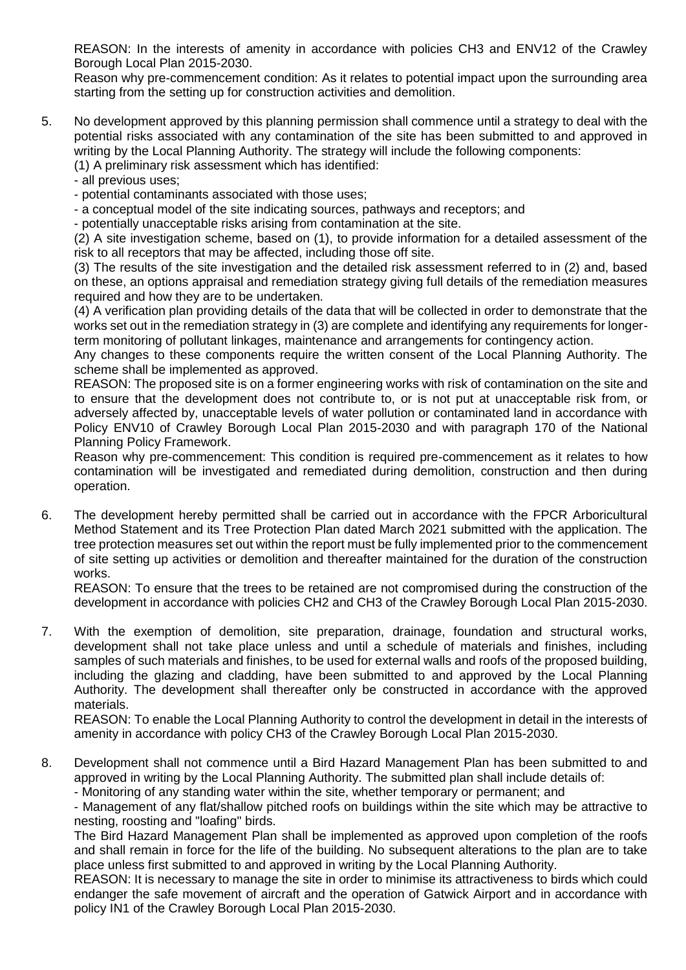REASON: In the interests of amenity in accordance with policies CH3 and ENV12 of the Crawley Borough Local Plan 2015-2030.

Reason why pre-commencement condition: As it relates to potential impact upon the surrounding area starting from the setting up for construction activities and demolition.

5. No development approved by this planning permission shall commence until a strategy to deal with the potential risks associated with any contamination of the site has been submitted to and approved in writing by the Local Planning Authority. The strategy will include the following components:

(1) A preliminary risk assessment which has identified:

- all previous uses;

- potential contaminants associated with those uses;

- a conceptual model of the site indicating sources, pathways and receptors; and

- potentially unacceptable risks arising from contamination at the site.

(2) A site investigation scheme, based on (1), to provide information for a detailed assessment of the risk to all receptors that may be affected, including those off site.

(3) The results of the site investigation and the detailed risk assessment referred to in (2) and, based on these, an options appraisal and remediation strategy giving full details of the remediation measures required and how they are to be undertaken.

(4) A verification plan providing details of the data that will be collected in order to demonstrate that the works set out in the remediation strategy in (3) are complete and identifying any requirements for longerterm monitoring of pollutant linkages, maintenance and arrangements for contingency action.

Any changes to these components require the written consent of the Local Planning Authority. The scheme shall be implemented as approved.

REASON: The proposed site is on a former engineering works with risk of contamination on the site and to ensure that the development does not contribute to, or is not put at unacceptable risk from, or adversely affected by, unacceptable levels of water pollution or contaminated land in accordance with Policy ENV10 of Crawley Borough Local Plan 2015-2030 and with paragraph 170 of the National Planning Policy Framework.

Reason why pre-commencement: This condition is required pre-commencement as it relates to how contamination will be investigated and remediated during demolition, construction and then during operation.

6. The development hereby permitted shall be carried out in accordance with the FPCR Arboricultural Method Statement and its Tree Protection Plan dated March 2021 submitted with the application. The tree protection measures set out within the report must be fully implemented prior to the commencement of site setting up activities or demolition and thereafter maintained for the duration of the construction works.

REASON: To ensure that the trees to be retained are not compromised during the construction of the development in accordance with policies CH2 and CH3 of the Crawley Borough Local Plan 2015-2030.

7. With the exemption of demolition, site preparation, drainage, foundation and structural works, development shall not take place unless and until a schedule of materials and finishes, including samples of such materials and finishes, to be used for external walls and roofs of the proposed building, including the glazing and cladding, have been submitted to and approved by the Local Planning Authority. The development shall thereafter only be constructed in accordance with the approved materials.

REASON: To enable the Local Planning Authority to control the development in detail in the interests of amenity in accordance with policy CH3 of the Crawley Borough Local Plan 2015-2030.

8. Development shall not commence until a Bird Hazard Management Plan has been submitted to and approved in writing by the Local Planning Authority. The submitted plan shall include details of:

- Monitoring of any standing water within the site, whether temporary or permanent; and

- Management of any flat/shallow pitched roofs on buildings within the site which may be attractive to nesting, roosting and "loafing" birds.

The Bird Hazard Management Plan shall be implemented as approved upon completion of the roofs and shall remain in force for the life of the building. No subsequent alterations to the plan are to take place unless first submitted to and approved in writing by the Local Planning Authority.

REASON: It is necessary to manage the site in order to minimise its attractiveness to birds which could endanger the safe movement of aircraft and the operation of Gatwick Airport and in accordance with policy IN1 of the Crawley Borough Local Plan 2015-2030.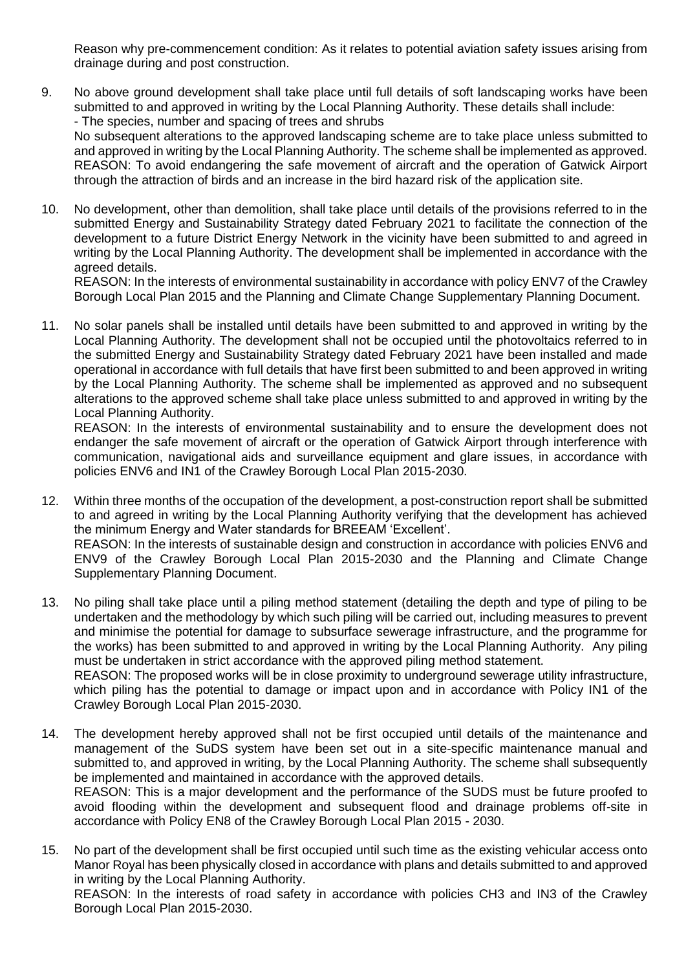Reason why pre-commencement condition: As it relates to potential aviation safety issues arising from drainage during and post construction.

9. No above ground development shall take place until full details of soft landscaping works have been submitted to and approved in writing by the Local Planning Authority. These details shall include: - The species, number and spacing of trees and shrubs

No subsequent alterations to the approved landscaping scheme are to take place unless submitted to and approved in writing by the Local Planning Authority. The scheme shall be implemented as approved. REASON: To avoid endangering the safe movement of aircraft and the operation of Gatwick Airport through the attraction of birds and an increase in the bird hazard risk of the application site.

10. No development, other than demolition, shall take place until details of the provisions referred to in the submitted Energy and Sustainability Strategy dated February 2021 to facilitate the connection of the development to a future District Energy Network in the vicinity have been submitted to and agreed in writing by the Local Planning Authority. The development shall be implemented in accordance with the agreed details.

REASON: In the interests of environmental sustainability in accordance with policy ENV7 of the Crawley Borough Local Plan 2015 and the Planning and Climate Change Supplementary Planning Document.

11. No solar panels shall be installed until details have been submitted to and approved in writing by the Local Planning Authority. The development shall not be occupied until the photovoltaics referred to in the submitted Energy and Sustainability Strategy dated February 2021 have been installed and made operational in accordance with full details that have first been submitted to and been approved in writing by the Local Planning Authority. The scheme shall be implemented as approved and no subsequent alterations to the approved scheme shall take place unless submitted to and approved in writing by the Local Planning Authority.

REASON: In the interests of environmental sustainability and to ensure the development does not endanger the safe movement of aircraft or the operation of Gatwick Airport through interference with communication, navigational aids and surveillance equipment and glare issues, in accordance with policies ENV6 and IN1 of the Crawley Borough Local Plan 2015-2030.

- 12. Within three months of the occupation of the development, a post-construction report shall be submitted to and agreed in writing by the Local Planning Authority verifying that the development has achieved the minimum Energy and Water standards for BREEAM 'Excellent'. REASON: In the interests of sustainable design and construction in accordance with policies ENV6 and ENV9 of the Crawley Borough Local Plan 2015-2030 and the Planning and Climate Change Supplementary Planning Document.
- 13. No piling shall take place until a piling method statement (detailing the depth and type of piling to be undertaken and the methodology by which such piling will be carried out, including measures to prevent and minimise the potential for damage to subsurface sewerage infrastructure, and the programme for the works) has been submitted to and approved in writing by the Local Planning Authority. Any piling must be undertaken in strict accordance with the approved piling method statement. REASON: The proposed works will be in close proximity to underground sewerage utility infrastructure,

which piling has the potential to damage or impact upon and in accordance with Policy IN1 of the Crawley Borough Local Plan 2015-2030.

- 14. The development hereby approved shall not be first occupied until details of the maintenance and management of the SuDS system have been set out in a site-specific maintenance manual and submitted to, and approved in writing, by the Local Planning Authority. The scheme shall subsequently be implemented and maintained in accordance with the approved details. REASON: This is a major development and the performance of the SUDS must be future proofed to avoid flooding within the development and subsequent flood and drainage problems off-site in accordance with Policy EN8 of the Crawley Borough Local Plan 2015 - 2030.
- 15. No part of the development shall be first occupied until such time as the existing vehicular access onto Manor Royal has been physically closed in accordance with plans and details submitted to and approved in writing by the Local Planning Authority. REASON: In the interests of road safety in accordance with policies CH3 and IN3 of the Crawley Borough Local Plan 2015-2030.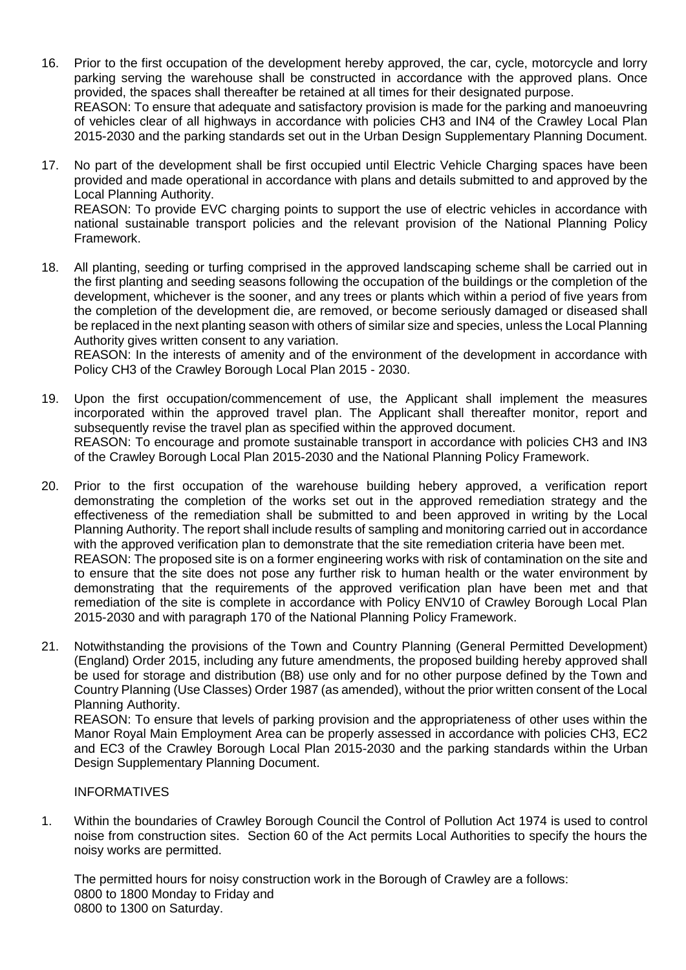- 16. Prior to the first occupation of the development hereby approved, the car, cycle, motorcycle and lorry parking serving the warehouse shall be constructed in accordance with the approved plans. Once provided, the spaces shall thereafter be retained at all times for their designated purpose. REASON: To ensure that adequate and satisfactory provision is made for the parking and manoeuvring of vehicles clear of all highways in accordance with policies CH3 and IN4 of the Crawley Local Plan 2015-2030 and the parking standards set out in the Urban Design Supplementary Planning Document.
- 17. No part of the development shall be first occupied until Electric Vehicle Charging spaces have been provided and made operational in accordance with plans and details submitted to and approved by the Local Planning Authority. REASON: To provide EVC charging points to support the use of electric vehicles in accordance with national sustainable transport policies and the relevant provision of the National Planning Policy Framework.
- 18. All planting, seeding or turfing comprised in the approved landscaping scheme shall be carried out in the first planting and seeding seasons following the occupation of the buildings or the completion of the development, whichever is the sooner, and any trees or plants which within a period of five years from the completion of the development die, are removed, or become seriously damaged or diseased shall be replaced in the next planting season with others of similar size and species, unless the Local Planning Authority gives written consent to any variation.

REASON: In the interests of amenity and of the environment of the development in accordance with Policy CH3 of the Crawley Borough Local Plan 2015 - 2030.

- 19. Upon the first occupation/commencement of use, the Applicant shall implement the measures incorporated within the approved travel plan. The Applicant shall thereafter monitor, report and subsequently revise the travel plan as specified within the approved document. REASON: To encourage and promote sustainable transport in accordance with policies CH3 and IN3 of the Crawley Borough Local Plan 2015-2030 and the National Planning Policy Framework.
- 20. Prior to the first occupation of the warehouse building hebery approved, a verification report demonstrating the completion of the works set out in the approved remediation strategy and the effectiveness of the remediation shall be submitted to and been approved in writing by the Local Planning Authority. The report shall include results of sampling and monitoring carried out in accordance with the approved verification plan to demonstrate that the site remediation criteria have been met. REASON: The proposed site is on a former engineering works with risk of contamination on the site and to ensure that the site does not pose any further risk to human health or the water environment by demonstrating that the requirements of the approved verification plan have been met and that remediation of the site is complete in accordance with Policy ENV10 of Crawley Borough Local Plan 2015-2030 and with paragraph 170 of the National Planning Policy Framework.
- 21. Notwithstanding the provisions of the Town and Country Planning (General Permitted Development) (England) Order 2015, including any future amendments, the proposed building hereby approved shall be used for storage and distribution (B8) use only and for no other purpose defined by the Town and Country Planning (Use Classes) Order 1987 (as amended), without the prior written consent of the Local Planning Authority.

REASON: To ensure that levels of parking provision and the appropriateness of other uses within the Manor Royal Main Employment Area can be properly assessed in accordance with policies CH3, EC2 and EC3 of the Crawley Borough Local Plan 2015-2030 and the parking standards within the Urban Design Supplementary Planning Document.

### INFORMATIVES

1. Within the boundaries of Crawley Borough Council the Control of Pollution Act 1974 is used to control noise from construction sites. Section 60 of the Act permits Local Authorities to specify the hours the noisy works are permitted.

The permitted hours for noisy construction work in the Borough of Crawley are a follows: 0800 to 1800 Monday to Friday and 0800 to 1300 on Saturday.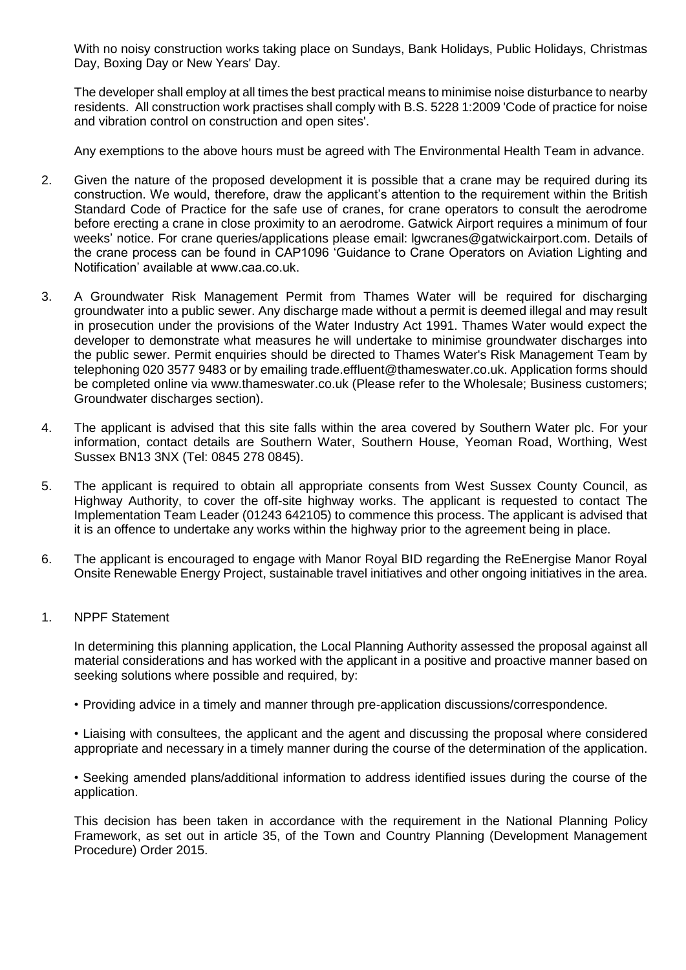With no noisy construction works taking place on Sundays, Bank Holidays, Public Holidays, Christmas Day, Boxing Day or New Years' Day.

The developer shall employ at all times the best practical means to minimise noise disturbance to nearby residents. All construction work practises shall comply with B.S. 5228 1:2009 'Code of practice for noise and vibration control on construction and open sites'.

Any exemptions to the above hours must be agreed with The Environmental Health Team in advance.

- 2. Given the nature of the proposed development it is possible that a crane may be required during its construction. We would, therefore, draw the applicant's attention to the requirement within the British Standard Code of Practice for the safe use of cranes, for crane operators to consult the aerodrome before erecting a crane in close proximity to an aerodrome. Gatwick Airport requires a minimum of four weeks' notice. For crane queries/applications please email: lgwcranes@gatwickairport.com. Details of the crane process can be found in CAP1096 'Guidance to Crane Operators on Aviation Lighting and Notification' available at www.caa.co.uk.
- 3. A Groundwater Risk Management Permit from Thames Water will be required for discharging groundwater into a public sewer. Any discharge made without a permit is deemed illegal and may result in prosecution under the provisions of the Water Industry Act 1991. Thames Water would expect the developer to demonstrate what measures he will undertake to minimise groundwater discharges into the public sewer. Permit enquiries should be directed to Thames Water's Risk Management Team by telephoning 020 3577 9483 or by emailing trade.effluent@thameswater.co.uk. Application forms should be completed online via www.thameswater.co.uk (Please refer to the Wholesale; Business customers; Groundwater discharges section).
- 4. The applicant is advised that this site falls within the area covered by Southern Water plc. For your information, contact details are Southern Water, Southern House, Yeoman Road, Worthing, West Sussex BN13 3NX (Tel: 0845 278 0845).
- 5. The applicant is required to obtain all appropriate consents from West Sussex County Council, as Highway Authority, to cover the off-site highway works. The applicant is requested to contact The Implementation Team Leader (01243 642105) to commence this process. The applicant is advised that it is an offence to undertake any works within the highway prior to the agreement being in place.
- 6. The applicant is encouraged to engage with Manor Royal BID regarding the ReEnergise Manor Royal Onsite Renewable Energy Project, sustainable travel initiatives and other ongoing initiatives in the area.
- 1. NPPF Statement

In determining this planning application, the Local Planning Authority assessed the proposal against all material considerations and has worked with the applicant in a positive and proactive manner based on seeking solutions where possible and required, by:

• Providing advice in a timely and manner through pre-application discussions/correspondence.

• Liaising with consultees, the applicant and the agent and discussing the proposal where considered appropriate and necessary in a timely manner during the course of the determination of the application.

• Seeking amended plans/additional information to address identified issues during the course of the application.

This decision has been taken in accordance with the requirement in the National Planning Policy Framework, as set out in article 35, of the Town and Country Planning (Development Management Procedure) Order 2015.